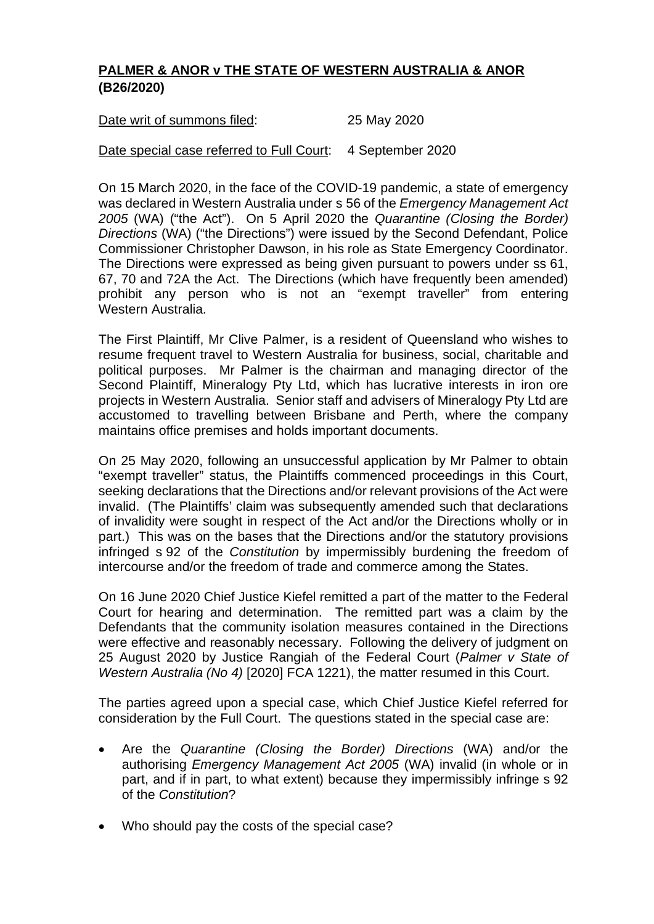## **PALMER & ANOR v THE STATE OF WESTERN AUSTRALIA & ANOR (B26/2020)**

| Date writ of summons filed: | 25 May 2020 |
|-----------------------------|-------------|
|                             |             |

## Date special case referred to Full Court: 4 September 2020

On 15 March 2020, in the face of the COVID-19 pandemic, a state of emergency was declared in Western Australia under s 56 of the *Emergency Management Act 2005* (WA) ("the Act"). On 5 April 2020 the *Quarantine (Closing the Border) Directions* (WA) ("the Directions") were issued by the Second Defendant, Police Commissioner Christopher Dawson, in his role as State Emergency Coordinator. The Directions were expressed as being given pursuant to powers under ss 61, 67, 70 and 72A the Act. The Directions (which have frequently been amended) prohibit any person who is not an "exempt traveller" from entering Western Australia.

The First Plaintiff, Mr Clive Palmer, is a resident of Queensland who wishes to resume frequent travel to Western Australia for business, social, charitable and political purposes. Mr Palmer is the chairman and managing director of the Second Plaintiff, Mineralogy Pty Ltd, which has lucrative interests in iron ore projects in Western Australia. Senior staff and advisers of Mineralogy Pty Ltd are accustomed to travelling between Brisbane and Perth, where the company maintains office premises and holds important documents.

On 25 May 2020, following an unsuccessful application by Mr Palmer to obtain "exempt traveller" status, the Plaintiffs commenced proceedings in this Court, seeking declarations that the Directions and/or relevant provisions of the Act were invalid. (The Plaintiffs' claim was subsequently amended such that declarations of invalidity were sought in respect of the Act and/or the Directions wholly or in part.) This was on the bases that the Directions and/or the statutory provisions infringed s 92 of the *Constitution* by impermissibly burdening the freedom of intercourse and/or the freedom of trade and commerce among the States.

On 16 June 2020 Chief Justice Kiefel remitted a part of the matter to the Federal Court for hearing and determination. The remitted part was a claim by the Defendants that the community isolation measures contained in the Directions were effective and reasonably necessary. Following the delivery of judgment on 25 August 2020 by Justice Rangiah of the Federal Court (*Palmer v State of Western Australia (No 4)* [2020] FCA 1221), the matter resumed in this Court.

The parties agreed upon a special case, which Chief Justice Kiefel referred for consideration by the Full Court. The questions stated in the special case are:

- Are the *Quarantine (Closing the Border) Directions* (WA) and/or the authorising *Emergency Management Act 2005* (WA) invalid (in whole or in part, and if in part, to what extent) because they impermissibly infringe s 92 of the *Constitution*?
- Who should pay the costs of the special case?